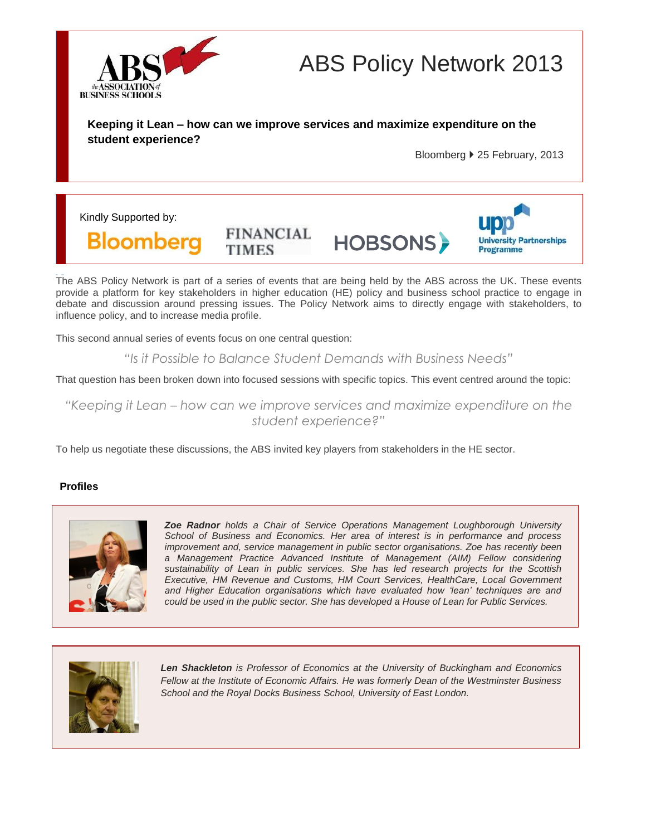

# ABS Policy Network 2013

**Keeping it Lean – how can we improve services and maximize expenditure on the student experience?**

Bloomberg 25 February, 2013

Kindly Supported by:

**Bloomberg** 

**FINANCIAL TIMES** 

**HOBSONS** 



The ABS Policy Network is part of a series of events that are being held by the ABS across the UK. These events provide a platform for key stakeholders in higher education (HE) policy and business school practice to engage in debate and discussion around pressing issues. The Policy Network aims to directly engage with stakeholders, to influence policy, and to increase media profile.

This second annual series of events focus on one central question:

*"Is it Possible to Balance Student Demands with Business Needs"*

That question has been broken down into focused sessions with specific topics. This event centred around the topic:

*"Keeping it Lean – how can we improve services and maximize expenditure on the student experience?"*

To help us negotiate these discussions, the ABS invited key players from stakeholders in the HE sector.

## **Profiles**



*Zoe Radnor holds a Chair of Service Operations Management Loughborough University School of Business and Economics. Her area of interest is in performance and process improvement and, service management in public sector organisations. Zoe has recently been a Management Practice Advanced Institute of Management (AIM) Fellow considering sustainability of Lean in public services. She has led research projects for the Scottish Executive, HM Revenue and Customs, HM Court Services, HealthCare, Local Government and Higher Education organisations which have evaluated how 'lean' techniques are and could be used in the public sector. She has developed a House of Lean for Public Services.*



*Len Shackleton is Professor of Economics at the University of Buckingham and Economics Fellow at the Institute of Economic Affairs. He was formerly Dean of the Westminster Business School and the Royal Docks Business School, University of East London.*